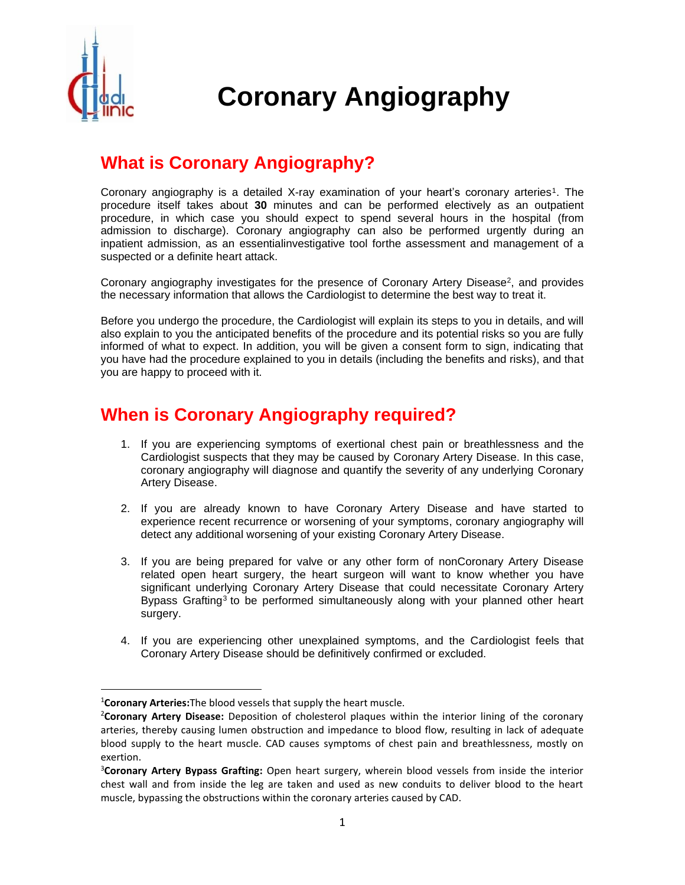

# **Coronary Angiography**

# **What is Coronary Angiography?**

Coronary angiography is a detailed X-ray examination of your heart's coronary arteries<sup>1</sup>. The procedure itself takes about **30** minutes and can be performed electively as an outpatient procedure, in which case you should expect to spend several hours in the hospital (from admission to discharge). Coronary angiography can also be performed urgently during an inpatient admission, as an essentialinvestigative tool forthe assessment and management of a suspected or a definite heart attack.

Coronary angiography investigates for the presence of Coronary Artery Disease<sup>2</sup>, and provides the necessary information that allows the Cardiologist to determine the best way to treat it.

Before you undergo the procedure, the Cardiologist will explain its steps to you in details, and will also explain to you the anticipated benefits of the procedure and its potential risks so you are fully informed of what to expect. In addition, you will be given a consent form to sign, indicating that you have had the procedure explained to you in details (including the benefits and risks), and that you are happy to proceed with it.

### **When is Coronary Angiography required?**

- 1. If you are experiencing symptoms of exertional chest pain or breathlessness and the Cardiologist suspects that they may be caused by Coronary Artery Disease. In this case, coronary angiography will diagnose and quantify the severity of any underlying Coronary Artery Disease.
- 2. If you are already known to have Coronary Artery Disease and have started to experience recent recurrence or worsening of your symptoms, coronary angiography will detect any additional worsening of your existing Coronary Artery Disease.
- 3. If you are being prepared for valve or any other form of nonCoronary Artery Disease related open heart surgery, the heart surgeon will want to know whether you have significant underlying Coronary Artery Disease that could necessitate Coronary Artery Bypass Grafting<sup>3</sup> to be performed simultaneously along with your planned other heart surgery.
- 4. If you are experiencing other unexplained symptoms, and the Cardiologist feels that Coronary Artery Disease should be definitively confirmed or excluded.

<sup>1</sup>**Coronary Arteries:**The blood vessels that supply the heart muscle.

<sup>2</sup>**Coronary Artery Disease:** Deposition of cholesterol plaques within the interior lining of the coronary arteries, thereby causing lumen obstruction and impedance to blood flow, resulting in lack of adequate blood supply to the heart muscle. CAD causes symptoms of chest pain and breathlessness, mostly on exertion.

<sup>3</sup>**Coronary Artery Bypass Grafting:** Open heart surgery, wherein blood vessels from inside the interior chest wall and from inside the leg are taken and used as new conduits to deliver blood to the heart muscle, bypassing the obstructions within the coronary arteries caused by CAD.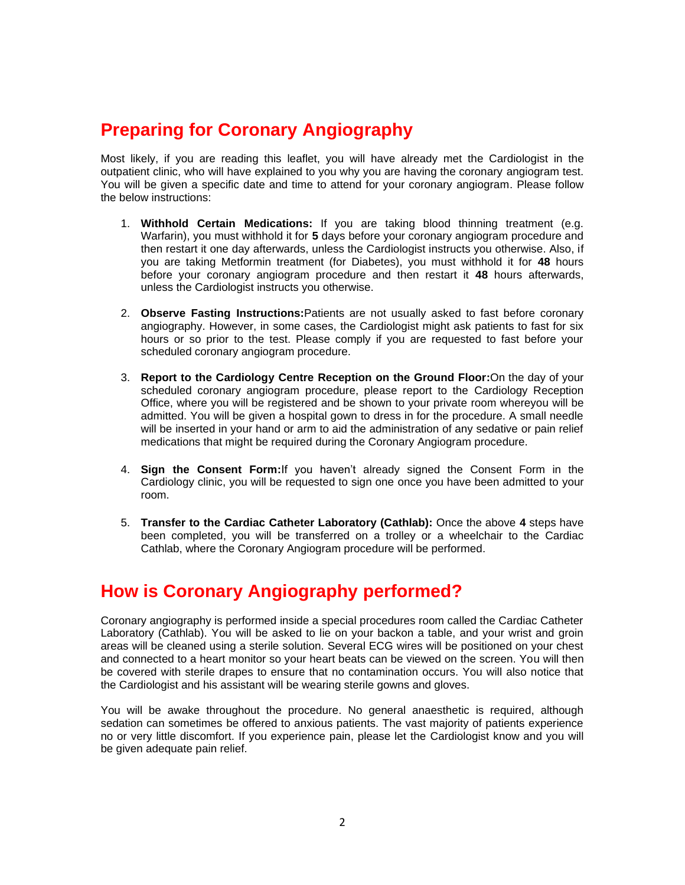# **Preparing for Coronary Angiography**

Most likely, if you are reading this leaflet, you will have already met the Cardiologist in the outpatient clinic, who will have explained to you why you are having the coronary angiogram test. You will be given a specific date and time to attend for your coronary angiogram. Please follow the below instructions:

- 1. **Withhold Certain Medications:** If you are taking blood thinning treatment (e.g. Warfarin), you must withhold it for **5** days before your coronary angiogram procedure and then restart it one day afterwards, unless the Cardiologist instructs you otherwise. Also, if you are taking Metformin treatment (for Diabetes), you must withhold it for **48** hours before your coronary angiogram procedure and then restart it **48** hours afterwards, unless the Cardiologist instructs you otherwise.
- 2. **Observe Fasting Instructions:**Patients are not usually asked to fast before coronary angiography. However, in some cases, the Cardiologist might ask patients to fast for six hours or so prior to the test. Please comply if you are requested to fast before your scheduled coronary angiogram procedure.
- 3. **Report to the Cardiology Centre Reception on the Ground Floor:**On the day of your scheduled coronary angiogram procedure, please report to the Cardiology Reception Office, where you will be registered and be shown to your private room whereyou will be admitted. You will be given a hospital gown to dress in for the procedure. A small needle will be inserted in your hand or arm to aid the administration of any sedative or pain relief medications that might be required during the Coronary Angiogram procedure.
- 4. **Sign the Consent Form:**If you haven't already signed the Consent Form in the Cardiology clinic, you will be requested to sign one once you have been admitted to your room.
- 5. **Transfer to the Cardiac Catheter Laboratory (Cathlab):** Once the above **4** steps have been completed, you will be transferred on a trolley or a wheelchair to the Cardiac Cathlab, where the Coronary Angiogram procedure will be performed.

# **How is Coronary Angiography performed?**

Coronary angiography is performed inside a special procedures room called the Cardiac Catheter Laboratory (Cathlab). You will be asked to lie on your backon a table, and your wrist and groin areas will be cleaned using a sterile solution. Several ECG wires will be positioned on your chest and connected to a heart monitor so your heart beats can be viewed on the screen. You will then be covered with sterile drapes to ensure that no contamination occurs. You will also notice that the Cardiologist and his assistant will be wearing sterile gowns and gloves.

You will be awake throughout the procedure. No general anaesthetic is required, although sedation can sometimes be offered to anxious patients. The vast majority of patients experience no or very little discomfort. If you experience pain, please let the Cardiologist know and you will be given adequate pain relief.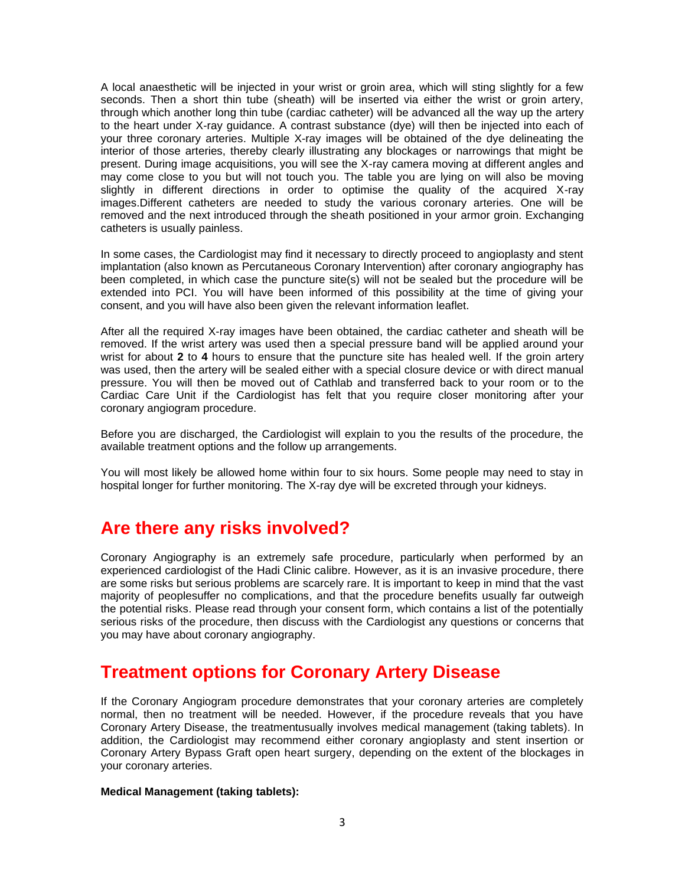A local anaesthetic will be injected in your wrist or groin area, which will sting slightly for a few seconds. Then a short thin tube (sheath) will be inserted via either the wrist or groin artery, through which another long thin tube (cardiac catheter) will be advanced all the way up the artery to the heart under X-ray guidance. A contrast substance (dye) will then be injected into each of your three coronary arteries. Multiple X-ray images will be obtained of the dye delineating the interior of those arteries, thereby clearly illustrating any blockages or narrowings that might be present. During image acquisitions, you will see the X-ray camera moving at different angles and may come close to you but will not touch you. The table you are lying on will also be moving slightly in different directions in order to optimise the quality of the acquired X-ray images.Different catheters are needed to study the various coronary arteries. One will be removed and the next introduced through the sheath positioned in your armor groin. Exchanging catheters is usually painless.

In some cases, the Cardiologist may find it necessary to directly proceed to angioplasty and stent implantation (also known as Percutaneous Coronary Intervention) after coronary angiography has been completed, in which case the puncture site(s) will not be sealed but the procedure will be extended into PCI. You will have been informed of this possibility at the time of giving your consent, and you will have also been given the relevant information leaflet.

After all the required X-ray images have been obtained, the cardiac catheter and sheath will be removed. If the wrist artery was used then a special pressure band will be applied around your wrist for about **2** to **4** hours to ensure that the puncture site has healed well. If the groin artery was used, then the artery will be sealed either with a special closure device or with direct manual pressure. You will then be moved out of Cathlab and transferred back to your room or to the Cardiac Care Unit if the Cardiologist has felt that you require closer monitoring after your coronary angiogram procedure.

Before you are discharged, the Cardiologist will explain to you the results of the procedure, the available treatment options and the follow up arrangements.

You will most likely be allowed home within four to six hours. Some people may need to stay in hospital longer for further monitoring. The X-ray dye will be excreted through your kidneys.

#### **Are there any risks involved?**

Coronary Angiography is an extremely safe procedure, particularly when performed by an experienced cardiologist of the Hadi Clinic calibre. However, as it is an invasive procedure, there are some risks but serious problems are scarcely rare. It is important to keep in mind that the vast majority of peoplesuffer no complications, and that the procedure benefits usually far outweigh the potential risks. Please read through your consent form, which contains a list of the potentially serious risks of the procedure, then discuss with the Cardiologist any questions or concerns that you may have about coronary angiography.

### **Treatment options for Coronary Artery Disease**

If the Coronary Angiogram procedure demonstrates that your coronary arteries are completely normal, then no treatment will be needed. However, if the procedure reveals that you have Coronary Artery Disease, the treatmentusually involves medical management (taking tablets). In addition, the Cardiologist may recommend either coronary angioplasty and stent insertion or Coronary Artery Bypass Graft open heart surgery, depending on the extent of the blockages in your coronary arteries.

#### **Medical Management (taking tablets):**